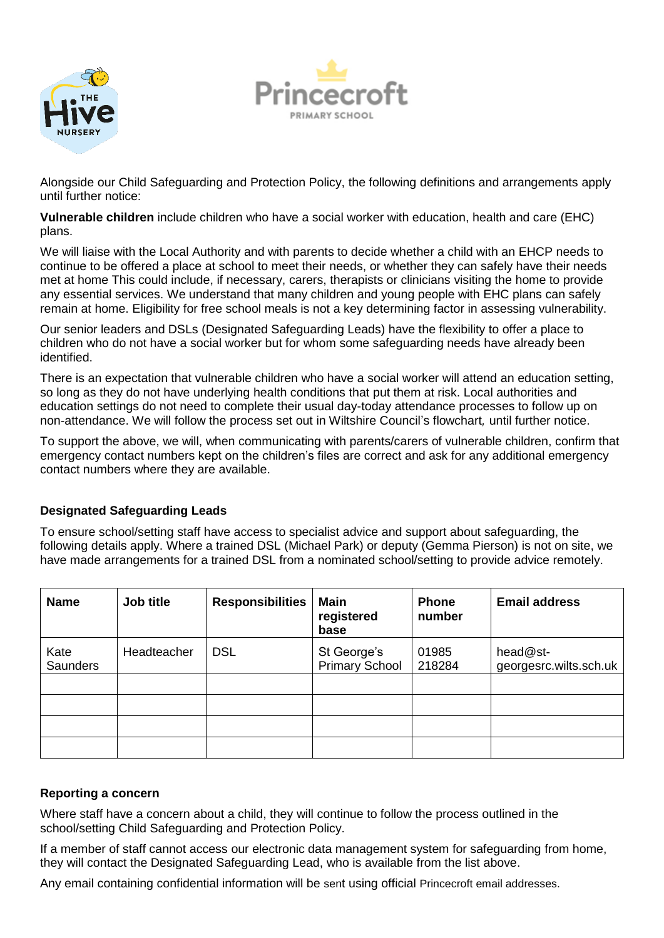



Alongside our Child Safeguarding and Protection Policy, the following definitions and arrangements apply until further notice:

**Vulnerable children** include children who have a social worker with education, health and care (EHC) plans.

We will liaise with the Local Authority and with parents to decide whether a child with an EHCP needs to continue to be offered a place at school to meet their needs, or whether they can safely have their needs met at home This could include, if necessary, carers, therapists or clinicians visiting the home to provide any essential services. We understand that many children and young people with EHC plans can safely remain at home. Eligibility for free school meals is not a key determining factor in assessing vulnerability.

Our senior leaders and DSLs (Designated Safeguarding Leads) have the flexibility to offer a place to children who do not have a social worker but for whom some safeguarding needs have already been identified.

There is an expectation that vulnerable children who have a social worker will attend an education setting, so long as they do not have underlying health conditions that put them at risk. Local authorities and education settings do not need to complete their usual day-today attendance processes to follow up on non-attendance. We will follow the process set out in Wiltshire Council's flowchart*,* until further notice.

To support the above, we will, when communicating with parents/carers of vulnerable children, confirm that emergency contact numbers kept on the children's files are correct and ask for any additional emergency contact numbers where they are available.

# **Designated Safeguarding Leads**

To ensure school/setting staff have access to specialist advice and support about safeguarding, the following details apply. Where a trained DSL (Michael Park) or deputy (Gemma Pierson) is not on site, we have made arrangements for a trained DSL from a nominated school/setting to provide advice remotely.

| <b>Name</b>             | Job title   | <b>Responsibilities</b> | <b>Main</b><br>registered<br>base    | <b>Phone</b><br>number | <b>Email address</b>               |
|-------------------------|-------------|-------------------------|--------------------------------------|------------------------|------------------------------------|
| Kate<br><b>Saunders</b> | Headteacher | <b>DSL</b>              | St George's<br><b>Primary School</b> | 01985<br>218284        | head@st-<br>georgesrc.wilts.sch.uk |
|                         |             |                         |                                      |                        |                                    |
|                         |             |                         |                                      |                        |                                    |

### **Reporting a concern**

Where staff have a concern about a child, they will continue to follow the process outlined in the school/setting Child Safeguarding and Protection Policy.

If a member of staff cannot access our electronic data management system for safeguarding from home, they will contact the Designated Safeguarding Lead, who is available from the list above.

Any email containing confidential information will be sent using official Princecroft email addresses.